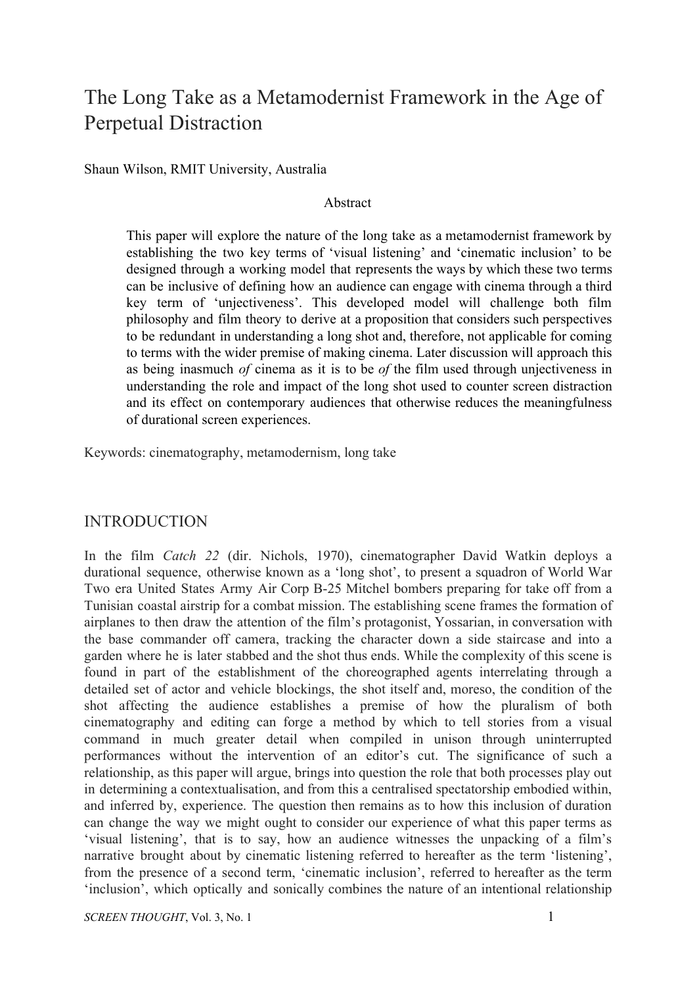# The Long Take as a Metamodernist Framework in the Age of Perpetual Distraction

Shaun Wilson, RMIT University, Australia

#### Abstract

This paper will explore the nature of the long take as a metamodernist framework by establishing the two key terms of 'visual listening' and 'cinematic inclusion' to be designed through a working model that represents the ways by which these two terms can be inclusive of defining how an audience can engage with cinema through a third key term of 'unjectiveness'. This developed model will challenge both film philosophy and film theory to derive at a proposition that considers such perspectives to be redundant in understanding a long shot and, therefore, not applicable for coming to terms with the wider premise of making cinema. Later discussion will approach this as being inasmuch *of* cinema as it is to be *of* the film used through unjectiveness in understanding the role and impact of the long shot used to counter screen distraction and its effect on contemporary audiences that otherwise reduces the meaningfulness of durational screen experiences.

Keywords: cinematography, metamodernism, long take

#### INTRODUCTION

In the film *Catch 22* (dir. Nichols, 1970), cinematographer David Watkin deploys a durational sequence, otherwise known as a 'long shot', to present a squadron of World War Two era United States Army Air Corp B-25 Mitchel bombers preparing for take off from a Tunisian coastal airstrip for a combat mission. The establishing scene frames the formation of airplanes to then draw the attention of the film's protagonist, Yossarian, in conversation with the base commander off camera, tracking the character down a side staircase and into a garden where he is later stabbed and the shot thus ends. While the complexity of this scene is found in part of the establishment of the choreographed agents interrelating through a detailed set of actor and vehicle blockings, the shot itself and, moreso, the condition of the shot affecting the audience establishes a premise of how the pluralism of both cinematography and editing can forge a method by which to tell stories from a visual command in much greater detail when compiled in unison through uninterrupted performances without the intervention of an editor's cut. The significance of such a relationship, as this paper will argue, brings into question the role that both processes play out in determining a contextualisation, and from this a centralised spectatorship embodied within, and inferred by, experience. The question then remains as to how this inclusion of duration can change the way we might ought to consider our experience of what this paper terms as 'visual listening', that is to say, how an audience witnesses the unpacking of a film's narrative brought about by cinematic listening referred to hereafter as the term 'listening', from the presence of a second term, 'cinematic inclusion', referred to hereafter as the term 'inclusion', which optically and sonically combines the nature of an intentional relationship

*SCREEN THOUGHT*, Vol. 3, No. 1 1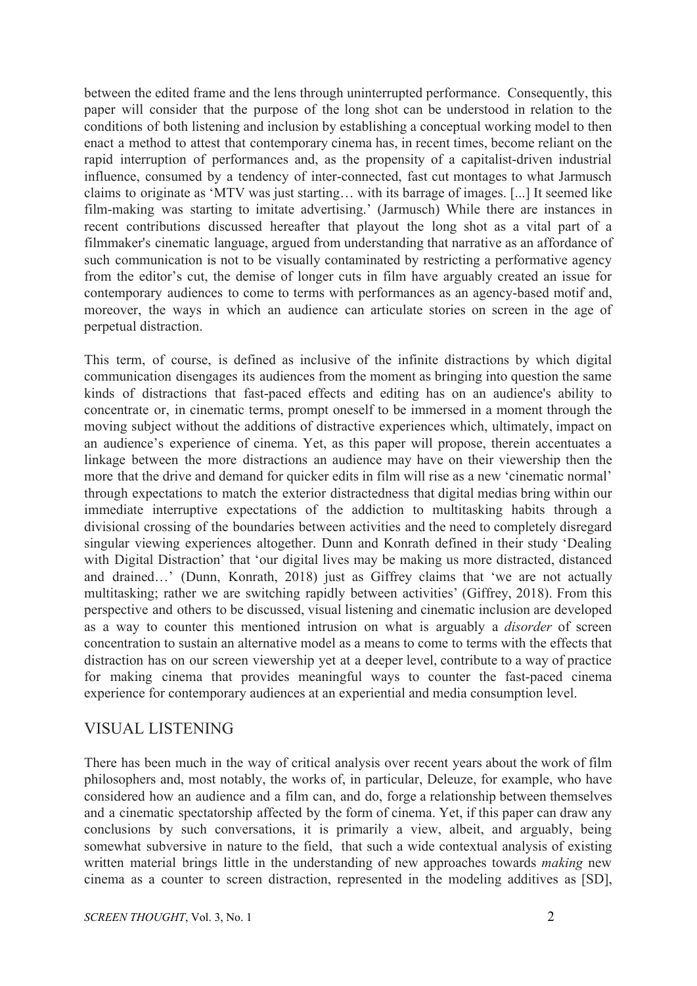between the edited frame and the lens through uninterrupted performance. Consequently, this paper will consider that the purpose of the long shot can be understood in relation to the conditions of both listening and inclusion by establishing a conceptual working model to then enact a method to attest that contemporary cinema has, in recent times, become reliant on the rapid interruption of performances and, as the propensity of a capitalist-driven industrial influence, consumed by a tendency of inter-connected, fast cut montages to what Jarmusch claims to originate as 'MTV was just starting… with its barrage of images. [...] It seemed like film-making was starting to imitate advertising.' (Jarmusch) While there are instances in recent contributions discussed hereafter that playout the long shot as a vital part of a filmmaker's cinematic language, argued from understanding that narrative as an affordance of such communication is not to be visually contaminated by restricting a performative agency from the editor's cut, the demise of longer cuts in film have arguably created an issue for contemporary audiences to come to terms with performances as an agency-based motif and, moreover, the ways in which an audience can articulate stories on screen in the age of perpetual distraction.

This term, of course, is defined as inclusive of the infinite distractions by which digital communication disengages its audiences from the moment as bringing into question the same kinds of distractions that fast-paced effects and editing has on an audience's ability to concentrate or, in cinematic terms, prompt oneself to be immersed in a moment through the moving subject without the additions of distractive experiences which, ultimately, impact on an audience's experience of cinema. Yet, as this paper will propose, therein accentuates a linkage between the more distractions an audience may have on their viewership then the more that the drive and demand for quicker edits in film will rise as a new 'cinematic normal' through expectations to match the exterior distractedness that digital medias bring within our immediate interruptive expectations of the addiction to multitasking habits through a divisional crossing of the boundaries between activities and the need to completely disregard singular viewing experiences altogether. Dunn and Konrath defined in their study 'Dealing with Digital Distraction' that 'our digital lives may be making us more distracted, distanced and drained…' (Dunn, Konrath, 2018) just as Giffrey claims that 'we are not actually multitasking; rather we are switching rapidly between activities' (Giffrey, 2018). From this perspective and others to be discussed, visual listening and cinematic inclusion are developed as a way to counter this mentioned intrusion on what is arguably a *disorder* of screen concentration to sustain an alternative model as a means to come to terms with the effects that distraction has on our screen viewership yet at a deeper level, contribute to a way of practice for making cinema that provides meaningful ways to counter the fast-paced cinema experience for contemporary audiences at an experiential and media consumption level.

# VISUAL LISTENING

There has been much in the way of critical analysis over recent years about the work of film philosophers and, most notably, the works of, in particular, Deleuze, for example, who have considered how an audience and a film can, and do, forge a relationship between themselves and a cinematic spectatorship affected by the form of cinema. Yet, if this paper can draw any conclusions by such conversations, it is primarily a view, albeit, and arguably, being somewhat subversive in nature to the field, that such a wide contextual analysis of existing written material brings little in the understanding of new approaches towards *making* new cinema as a counter to screen distraction, represented in the modeling additives as [SD],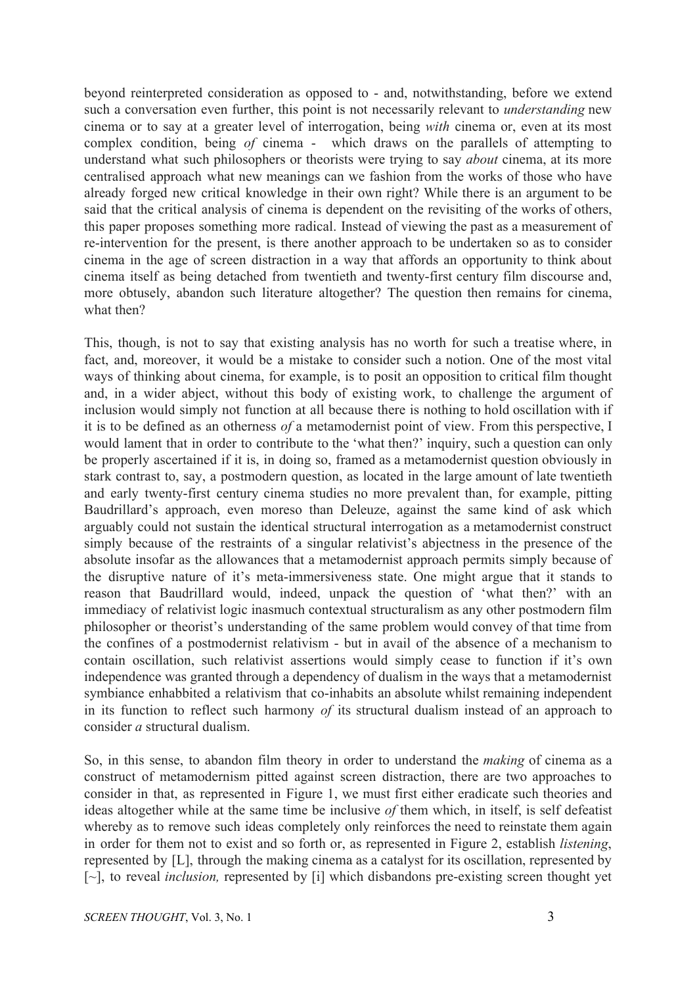beyond reinterpreted consideration as opposed to - and, notwithstanding, before we extend such a conversation even further, this point is not necessarily relevant to *understanding* new cinema or to say at a greater level of interrogation, being *with* cinema or, even at its most complex condition, being *of* cinema - which draws on the parallels of attempting to understand what such philosophers or theorists were trying to say *about* cinema, at its more centralised approach what new meanings can we fashion from the works of those who have already forged new critical knowledge in their own right? While there is an argument to be said that the critical analysis of cinema is dependent on the revisiting of the works of others, this paper proposes something more radical. Instead of viewing the past as a measurement of re-intervention for the present, is there another approach to be undertaken so as to consider cinema in the age of screen distraction in a way that affords an opportunity to think about cinema itself as being detached from twentieth and twenty-first century film discourse and, more obtusely, abandon such literature altogether? The question then remains for cinema, what then?

This, though, is not to say that existing analysis has no worth for such a treatise where, in fact, and, moreover, it would be a mistake to consider such a notion. One of the most vital ways of thinking about cinema, for example, is to posit an opposition to critical film thought and, in a wider abject, without this body of existing work, to challenge the argument of inclusion would simply not function at all because there is nothing to hold oscillation with if it is to be defined as an otherness *of* a metamodernist point of view. From this perspective, I would lament that in order to contribute to the 'what then?' inquiry, such a question can only be properly ascertained if it is, in doing so, framed as a metamodernist question obviously in stark contrast to, say, a postmodern question, as located in the large amount of late twentieth and early twenty-first century cinema studies no more prevalent than, for example, pitting Baudrillard's approach, even moreso than Deleuze, against the same kind of ask which arguably could not sustain the identical structural interrogation as a metamodernist construct simply because of the restraints of a singular relativist's abjectness in the presence of the absolute insofar as the allowances that a metamodernist approach permits simply because of the disruptive nature of it's meta-immersiveness state. One might argue that it stands to reason that Baudrillard would, indeed, unpack the question of 'what then?' with an immediacy of relativist logic inasmuch contextual structuralism as any other postmodern film philosopher or theorist's understanding of the same problem would convey of that time from the confines of a postmodernist relativism - but in avail of the absence of a mechanism to contain oscillation, such relativist assertions would simply cease to function if it's own independence was granted through a dependency of dualism in the ways that a metamodernist symbiance enhabbited a relativism that co-inhabits an absolute whilst remaining independent in its function to reflect such harmony *of* its structural dualism instead of an approach to consider *a* structural dualism.

So, in this sense, to abandon film theory in order to understand the *making* of cinema as a construct of metamodernism pitted against screen distraction, there are two approaches to consider in that, as represented in Figure 1, we must first either eradicate such theories and ideas altogether while at the same time be inclusive *of* them which, in itself, is self defeatist whereby as to remove such ideas completely only reinforces the need to reinstate them again in order for them not to exist and so forth or, as represented in Figure 2, establish *listening*, represented by [L], through the making cinema as a catalyst for its oscillation, represented by [~], to reveal *inclusion,* represented by [i] which disbandons pre-existing screen thought yet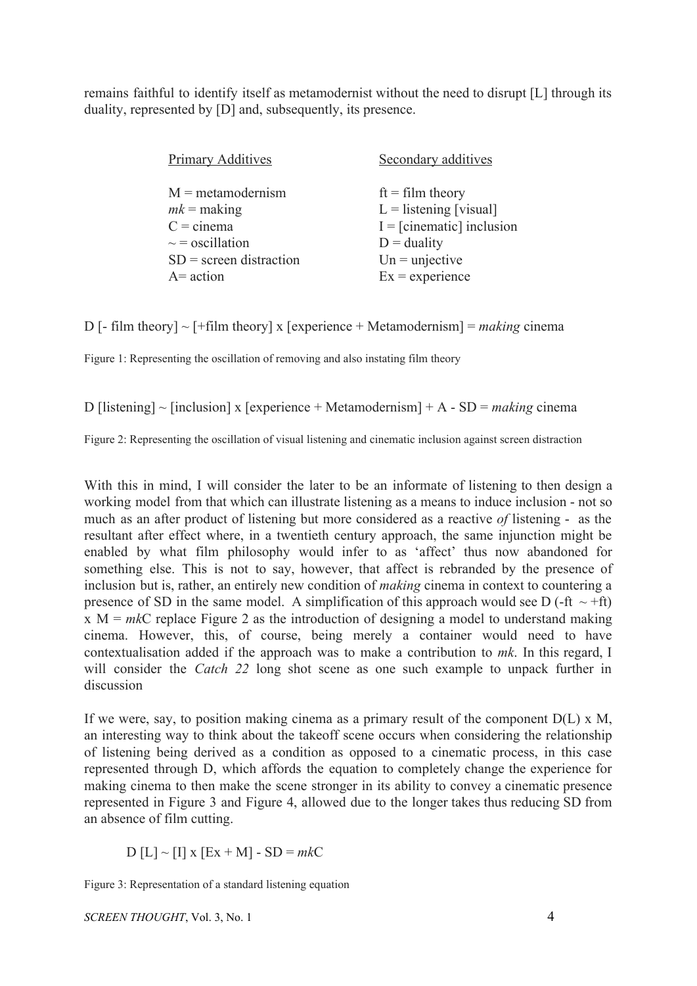remains faithful to identify itself as metamodernist without the need to disrupt [L] through its duality, represented by [D] and, subsequently, its presence.

| <b>Primary Additives</b>  | Secondary additives         |
|---------------------------|-----------------------------|
| $M =$ metamodernism       | $ft = film theory$          |
| $mk =$ making             | $L =$ listening [visual]    |
| $C = \text{cinema}$       | $I = [cinematic]$ inclusion |
| $\sim$ = oscillation      | $D =$ duality               |
| $SD$ = screen distraction | $Un = unjective$            |
| $A = action$              | $Ex =$ experience           |

D [- film theory]  $\sim$  [+film theory] x [experience + Metamodernism] = *making* cinema

Figure 1: Representing the oscillation of removing and also instating film theory

D [listening] ~ [inclusion] x [experience + Metamodernism] + A - SD = *making* cinema

Figure 2: Representing the oscillation of visual listening and cinematic inclusion against screen distraction

With this in mind, I will consider the later to be an informate of listening to then design a working model from that which can illustrate listening as a means to induce inclusion - not so much as an after product of listening but more considered as a reactive *of* listening - as the resultant after effect where, in a twentieth century approach, the same injunction might be enabled by what film philosophy would infer to as 'affect' thus now abandoned for something else. This is not to say, however, that affect is rebranded by the presence of inclusion but is, rather, an entirely new condition of *making* cinema in context to countering a presence of SD in the same model. A simplification of this approach would see D (-ft  $\sim$  +ft) x M = *mk*C replace Figure 2 as the introduction of designing a model to understand making cinema. However, this, of course, being merely a container would need to have contextualisation added if the approach was to make a contribution to *mk*. In this regard, I will consider the *Catch 22* long shot scene as one such example to unpack further in discussion

If we were, say, to position making cinema as a primary result of the component  $D(L) \times M$ , an interesting way to think about the takeoff scene occurs when considering the relationship of listening being derived as a condition as opposed to a cinematic process, in this case represented through D, which affords the equation to completely change the experience for making cinema to then make the scene stronger in its ability to convey a cinematic presence represented in Figure 3 and Figure 4, allowed due to the longer takes thus reducing SD from an absence of film cutting.

 $D [L] \sim [I] x [Ex + M] - SD = mkC$ 

Figure 3: Representation of a standard listening equation

*SCREEN THOUGHT*, Vol. 3, No. 1 4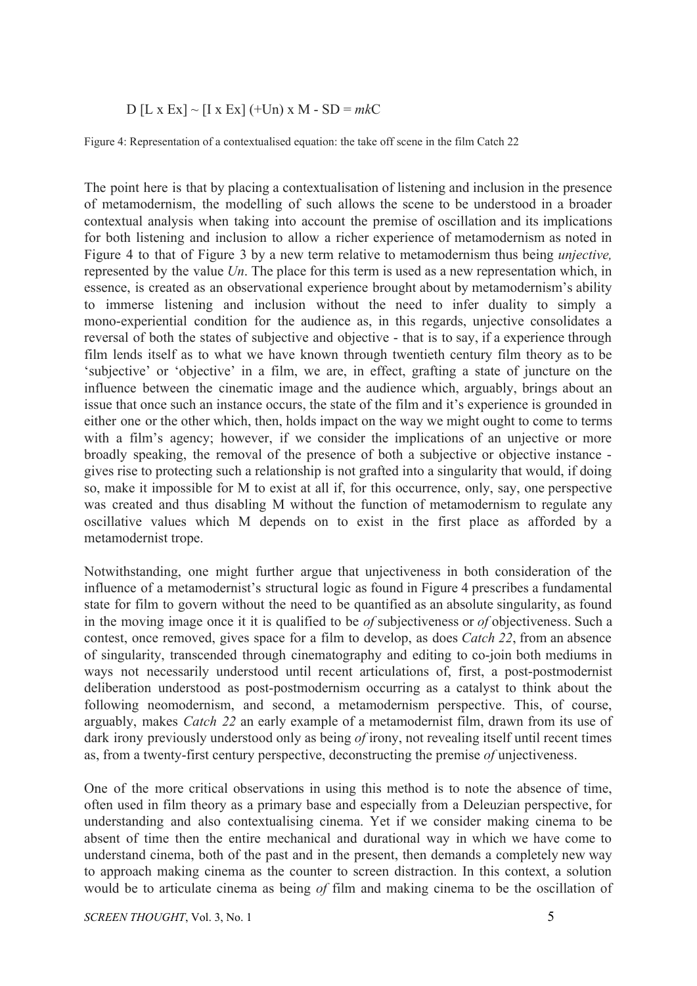#### D  $[L \times Ex] \sim [I \times Ex] (+Un) \times M - SD = mkC$

Figure 4: Representation of a contextualised equation: the take off scene in the film Catch 22

The point here is that by placing a contextualisation of listening and inclusion in the presence of metamodernism, the modelling of such allows the scene to be understood in a broader contextual analysis when taking into account the premise of oscillation and its implications for both listening and inclusion to allow a richer experience of metamodernism as noted in Figure 4 to that of Figure 3 by a new term relative to metamodernism thus being *unjective,* represented by the value *Un*. The place for this term is used as a new representation which, in essence, is created as an observational experience brought about by metamodernism's ability to immerse listening and inclusion without the need to infer duality to simply a mono-experiential condition for the audience as, in this regards, unjective consolidates a reversal of both the states of subjective and objective - that is to say, if a experience through film lends itself as to what we have known through twentieth century film theory as to be 'subjective' or 'objective' in a film, we are, in effect, grafting a state of juncture on the influence between the cinematic image and the audience which, arguably, brings about an issue that once such an instance occurs, the state of the film and it's experience is grounded in either one or the other which, then, holds impact on the way we might ought to come to terms with a film's agency; however, if we consider the implications of an unjective or more broadly speaking, the removal of the presence of both a subjective or objective instance gives rise to protecting such a relationship is not grafted into a singularity that would, if doing so, make it impossible for M to exist at all if, for this occurrence, only, say, one perspective was created and thus disabling M without the function of metamodernism to regulate any oscillative values which M depends on to exist in the first place as afforded by a metamodernist trope.

Notwithstanding, one might further argue that unjectiveness in both consideration of the influence of a metamodernist's structural logic as found in Figure 4 prescribes a fundamental state for film to govern without the need to be quantified as an absolute singularity, as found in the moving image once it it is qualified to be *of* subjectiveness or *of* objectiveness. Such a contest, once removed, gives space for a film to develop, as does *Catch 22*, from an absence of singularity, transcended through cinematography and editing to co-join both mediums in ways not necessarily understood until recent articulations of, first, a post-postmodernist deliberation understood as post-postmodernism occurring as a catalyst to think about the following neomodernism, and second, a metamodernism perspective. This, of course, arguably, makes *Catch 22* an early example of a metamodernist film, drawn from its use of dark irony previously understood only as being *of* irony, not revealing itself until recent times as, from a twenty-first century perspective, deconstructing the premise *of* unjectiveness.

One of the more critical observations in using this method is to note the absence of time, often used in film theory as a primary base and especially from a Deleuzian perspective, for understanding and also contextualising cinema. Yet if we consider making cinema to be absent of time then the entire mechanical and durational way in which we have come to understand cinema, both of the past and in the present, then demands a completely new way to approach making cinema as the counter to screen distraction. In this context, a solution would be to articulate cinema as being *of* film and making cinema to be the oscillation of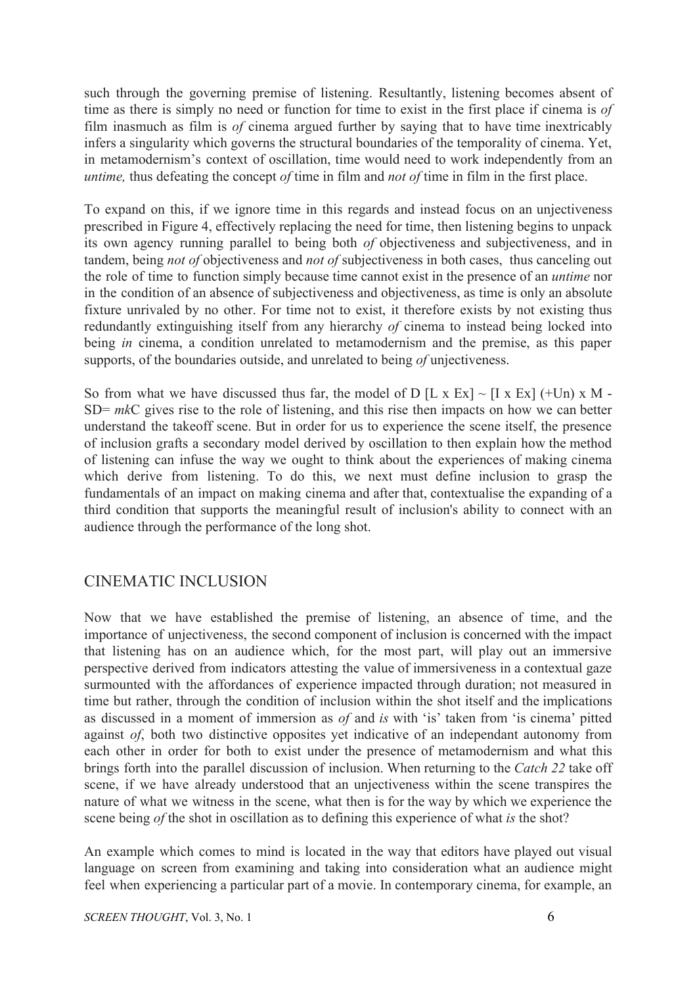such through the governing premise of listening. Resultantly, listening becomes absent of time as there is simply no need or function for time to exist in the first place if cinema is *of* film inasmuch as film is *of* cinema argued further by saying that to have time inextricably infers a singularity which governs the structural boundaries of the temporality of cinema. Yet, in metamodernism's context of oscillation, time would need to work independently from an *untime,* thus defeating the concept *of* time in film and *not of* time in film in the first place.

To expand on this, if we ignore time in this regards and instead focus on an unjectiveness prescribed in Figure 4, effectively replacing the need for time, then listening begins to unpack its own agency running parallel to being both *of* objectiveness and subjectiveness, and in tandem, being *not of* objectiveness and *not of* subjectiveness in both cases, thus canceling out the role of time to function simply because time cannot exist in the presence of an *untime* nor in the condition of an absence of subjectiveness and objectiveness, as time is only an absolute fixture unrivaled by no other. For time not to exist, it therefore exists by not existing thus redundantly extinguishing itself from any hierarchy *of* cinema to instead being locked into being *in* cinema, a condition unrelated to metamodernism and the premise, as this paper supports, of the boundaries outside, and unrelated to being *of* unjectiveness.

So from what we have discussed thus far, the model of D [L x Ex]  $\sim$  [I x Ex] (+Un) x M -SD= *mk*C gives rise to the role of listening, and this rise then impacts on how we can better understand the takeoff scene. But in order for us to experience the scene itself, the presence of inclusion grafts a secondary model derived by oscillation to then explain how the method of listening can infuse the way we ought to think about the experiences of making cinema which derive from listening. To do this, we next must define inclusion to grasp the fundamentals of an impact on making cinema and after that, contextualise the expanding of a third condition that supports the meaningful result of inclusion's ability to connect with an audience through the performance of the long shot.

# CINEMATIC INCLUSION

Now that we have established the premise of listening, an absence of time, and the importance of unjectiveness, the second component of inclusion is concerned with the impact that listening has on an audience which, for the most part, will play out an immersive perspective derived from indicators attesting the value of immersiveness in a contextual gaze surmounted with the affordances of experience impacted through duration; not measured in time but rather, through the condition of inclusion within the shot itself and the implications as discussed in a moment of immersion as *of* and *is* with 'is' taken from 'is cinema' pitted against *of*, both two distinctive opposites yet indicative of an independant autonomy from each other in order for both to exist under the presence of metamodernism and what this brings forth into the parallel discussion of inclusion. When returning to the *Catch 22* take off scene, if we have already understood that an unjectiveness within the scene transpires the nature of what we witness in the scene, what then is for the way by which we experience the scene being *of* the shot in oscillation as to defining this experience of what *is* the shot?

An example which comes to mind is located in the way that editors have played out visual language on screen from examining and taking into consideration what an audience might feel when experiencing a particular part of a movie. In contemporary cinema, for example, an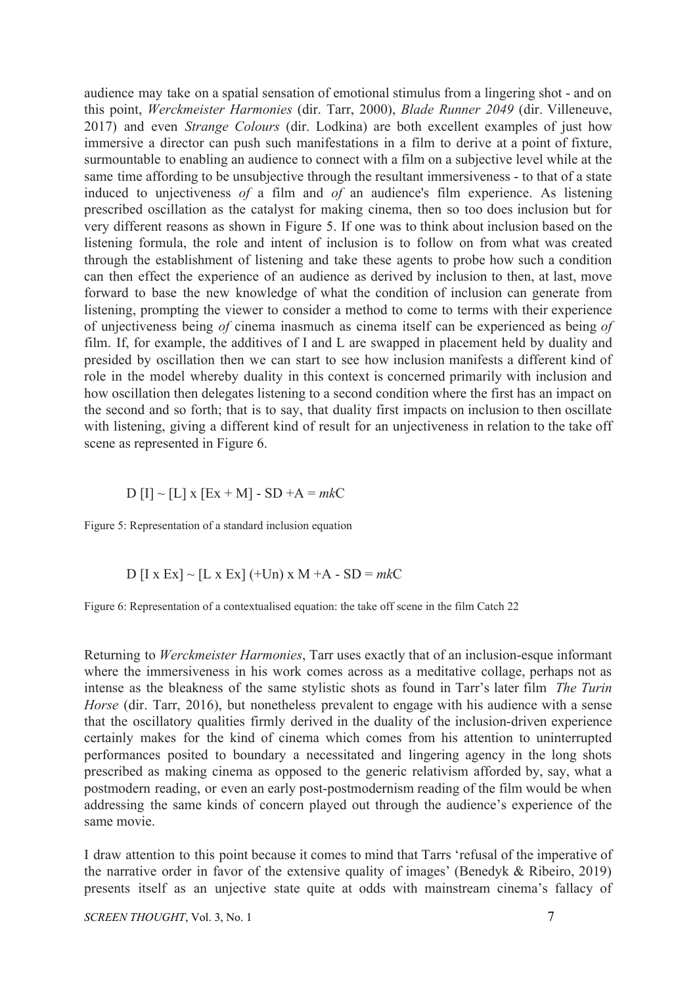audience may take on a spatial sensation of emotional stimulus from a lingering shot - and on this point, *Werckmeister Harmonies* (dir. Tarr, 2000), *Blade Runner 2049* (dir. Villeneuve, 2017) and even *Strange Colours* (dir. Lodkina) are both excellent examples of just how immersive a director can push such manifestations in a film to derive at a point of fixture, surmountable to enabling an audience to connect with a film on a subjective level while at the same time affording to be unsubjective through the resultant immersiveness - to that of a state induced to unjectiveness *of* a film and *of* an audience's film experience. As listening prescribed oscillation as the catalyst for making cinema, then so too does inclusion but for very different reasons as shown in Figure 5. If one was to think about inclusion based on the listening formula, the role and intent of inclusion is to follow on from what was created through the establishment of listening and take these agents to probe how such a condition can then effect the experience of an audience as derived by inclusion to then, at last, move forward to base the new knowledge of what the condition of inclusion can generate from listening, prompting the viewer to consider a method to come to terms with their experience of unjectiveness being *of* cinema inasmuch as cinema itself can be experienced as being *of* film. If, for example, the additives of I and L are swapped in placement held by duality and presided by oscillation then we can start to see how inclusion manifests a different kind of role in the model whereby duality in this context is concerned primarily with inclusion and how oscillation then delegates listening to a second condition where the first has an impact on the second and so forth; that is to say, that duality first impacts on inclusion to then oscillate with listening, giving a different kind of result for an unjectiveness in relation to the take off scene as represented in Figure 6.

$$
D [I] \sim [L] x [Ex + M] - SD + A = mkC
$$

Figure 5: Representation of a standard inclusion equation

D [I x Ex] ~ [L x Ex] (+Un) x M +A - SD = 
$$
mkC
$$

Figure 6: Representation of a contextualised equation: the take off scene in the film Catch 22

Returning to *Werckmeister Harmonies*, Tarr uses exactly that of an inclusion-esque informant where the immersiveness in his work comes across as a meditative collage, perhaps not as intense as the bleakness of the same stylistic shots as found in Tarr's later film *The Turin Horse* (dir. Tarr, 2016), but nonetheless prevalent to engage with his audience with a sense that the oscillatory qualities firmly derived in the duality of the inclusion-driven experience certainly makes for the kind of cinema which comes from his attention to uninterrupted performances posited to boundary a necessitated and lingering agency in the long shots prescribed as making cinema as opposed to the generic relativism afforded by, say, what a postmodern reading, or even an early post-postmodernism reading of the film would be when addressing the same kinds of concern played out through the audience's experience of the same movie.

I draw attention to this point because it comes to mind that Tarrs 'refusal of the imperative of the narrative order in favor of the extensive quality of images' (Benedyk & Ribeiro, 2019) presents itself as an unjective state quite at odds with mainstream cinema's fallacy of

*SCREEN THOUGHT*, Vol. 3, No. 1 7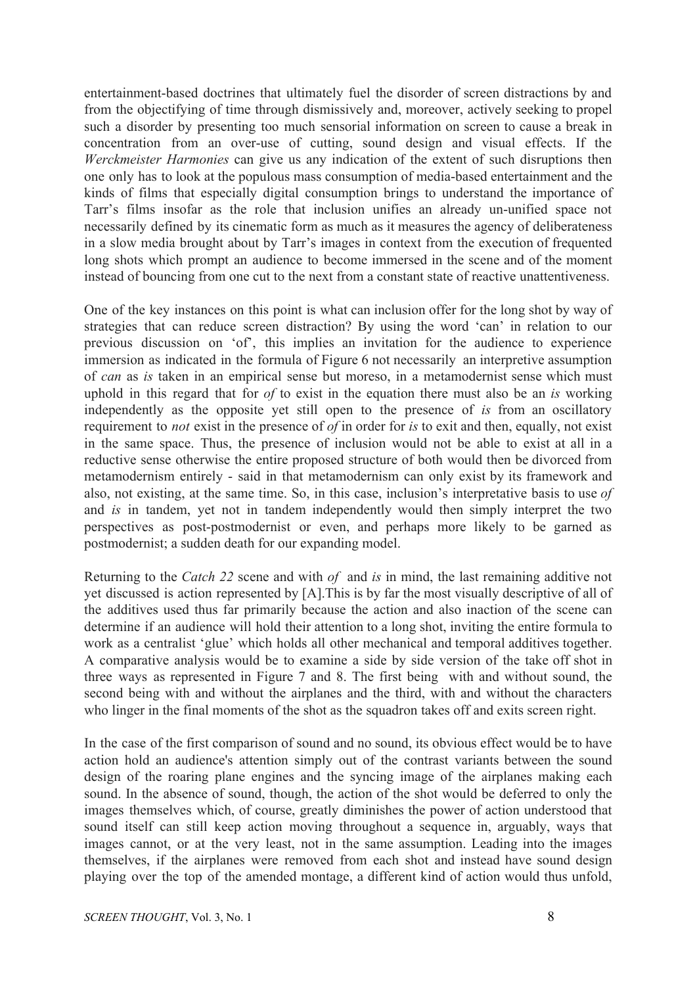entertainment-based doctrines that ultimately fuel the disorder of screen distractions by and from the objectifying of time through dismissively and, moreover, actively seeking to propel such a disorder by presenting too much sensorial information on screen to cause a break in concentration from an over-use of cutting, sound design and visual effects. If the *Werckmeister Harmonies* can give us any indication of the extent of such disruptions then one only has to look at the populous mass consumption of media-based entertainment and the kinds of films that especially digital consumption brings to understand the importance of Tarr's films insofar as the role that inclusion unifies an already un-unified space not necessarily defined by its cinematic form as much as it measures the agency of deliberateness in a slow media brought about by Tarr's images in context from the execution of frequented long shots which prompt an audience to become immersed in the scene and of the moment instead of bouncing from one cut to the next from a constant state of reactive unattentiveness.

One of the key instances on this point is what can inclusion offer for the long shot by way of strategies that can reduce screen distraction? By using the word 'can' in relation to our previous discussion on 'of', this implies an invitation for the audience to experience immersion as indicated in the formula of Figure 6 not necessarily an interpretive assumption of *can* as *is* taken in an empirical sense but moreso, in a metamodernist sense which must uphold in this regard that for *of* to exist in the equation there must also be an *is* working independently as the opposite yet still open to the presence of *is* from an oscillatory requirement to *not* exist in the presence of *of* in order for *is* to exit and then, equally, not exist in the same space. Thus, the presence of inclusion would not be able to exist at all in a reductive sense otherwise the entire proposed structure of both would then be divorced from metamodernism entirely - said in that metamodernism can only exist by its framework and also, not existing, at the same time. So, in this case, inclusion's interpretative basis to use *of* and *is* in tandem, yet not in tandem independently would then simply interpret the two perspectives as post-postmodernist or even, and perhaps more likely to be garned as postmodernist; a sudden death for our expanding model.

Returning to the *Catch 22* scene and with *of* and *is* in mind, the last remaining additive not yet discussed is action represented by [A].This is by far the most visually descriptive of all of the additives used thus far primarily because the action and also inaction of the scene can determine if an audience will hold their attention to a long shot, inviting the entire formula to work as a centralist 'glue' which holds all other mechanical and temporal additives together. A comparative analysis would be to examine a side by side version of the take off shot in three ways as represented in Figure 7 and 8. The first being with and without sound, the second being with and without the airplanes and the third, with and without the characters who linger in the final moments of the shot as the squadron takes off and exits screen right.

In the case of the first comparison of sound and no sound, its obvious effect would be to have action hold an audience's attention simply out of the contrast variants between the sound design of the roaring plane engines and the syncing image of the airplanes making each sound. In the absence of sound, though, the action of the shot would be deferred to only the images themselves which, of course, greatly diminishes the power of action understood that sound itself can still keep action moving throughout a sequence in, arguably, ways that images cannot, or at the very least, not in the same assumption. Leading into the images themselves, if the airplanes were removed from each shot and instead have sound design playing over the top of the amended montage, a different kind of action would thus unfold,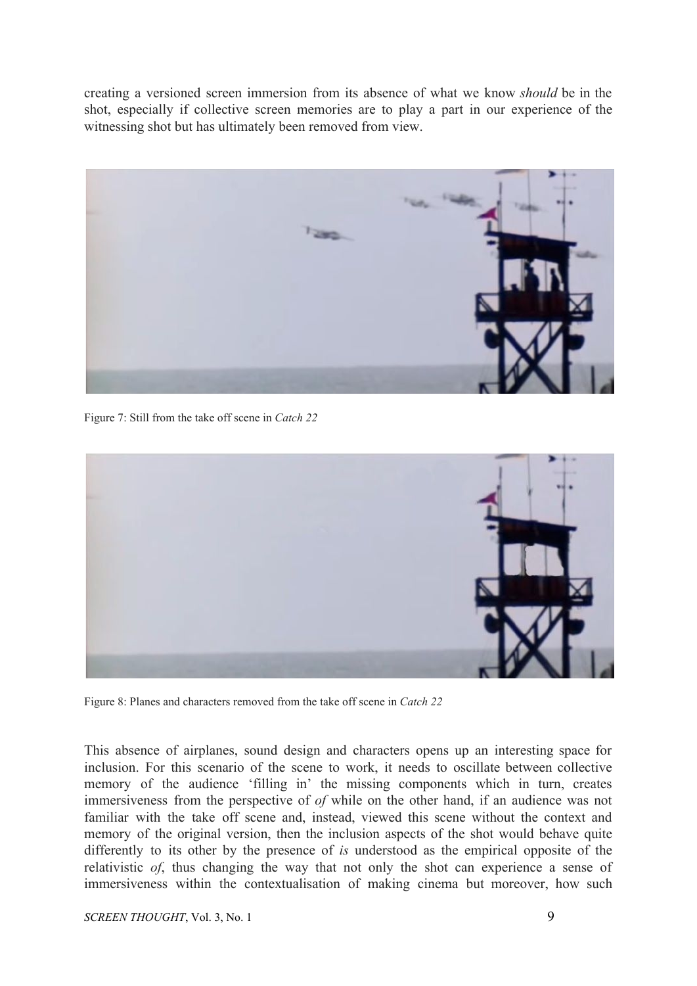creating a versioned screen immersion from its absence of what we know *should* be in the shot, especially if collective screen memories are to play a part in our experience of the witnessing shot but has ultimately been removed from view.



Figure 7: Still from the take off scene in *Catch 22*



Figure 8: Planes and characters removed from the take off scene in *Catch 22*

This absence of airplanes, sound design and characters opens up an interesting space for inclusion. For this scenario of the scene to work, it needs to oscillate between collective memory of the audience 'filling in' the missing components which in turn, creates immersiveness from the perspective of *of* while on the other hand, if an audience was not familiar with the take off scene and, instead, viewed this scene without the context and memory of the original version, then the inclusion aspects of the shot would behave quite differently to its other by the presence of *is* understood as the empirical opposite of the relativistic *of*, thus changing the way that not only the shot can experience a sense of immersiveness within the contextualisation of making cinema but moreover, how such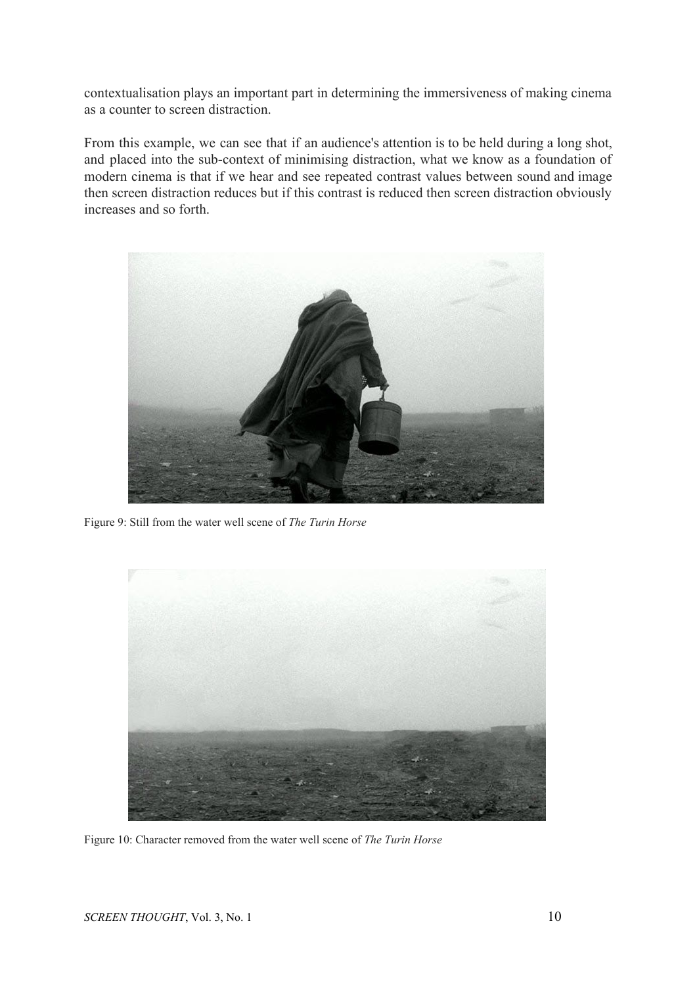contextualisation plays an important part in determining the immersiveness of making cinema as a counter to screen distraction.

From this example, we can see that if an audience's attention is to be held during a long shot, and placed into the sub-context of minimising distraction, what we know as a foundation of modern cinema is that if we hear and see repeated contrast values between sound and image then screen distraction reduces but if this contrast is reduced then screen distraction obviously increases and so forth.



Figure 9: Still from the water well scene of *The Turin Horse*



Figure 10: Character removed from the water well scene of *The Turin Horse*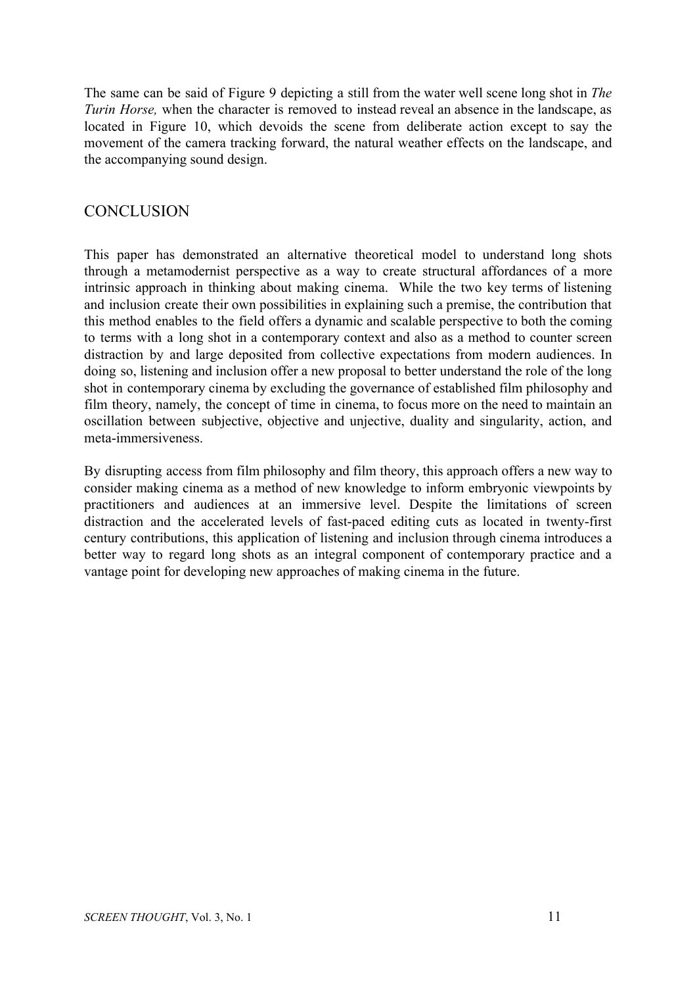The same can be said of Figure 9 depicting a still from the water well scene long shot in *The Turin Horse,* when the character is removed to instead reveal an absence in the landscape, as located in Figure 10, which devoids the scene from deliberate action except to say the movement of the camera tracking forward, the natural weather effects on the landscape, and the accompanying sound design.

### **CONCLUSION**

This paper has demonstrated an alternative theoretical model to understand long shots through a metamodernist perspective as a way to create structural affordances of a more intrinsic approach in thinking about making cinema. While the two key terms of listening and inclusion create their own possibilities in explaining such a premise, the contribution that this method enables to the field offers a dynamic and scalable perspective to both the coming to terms with a long shot in a contemporary context and also as a method to counter screen distraction by and large deposited from collective expectations from modern audiences. In doing so, listening and inclusion offer a new proposal to better understand the role of the long shot in contemporary cinema by excluding the governance of established film philosophy and film theory, namely, the concept of time in cinema, to focus more on the need to maintain an oscillation between subjective, objective and unjective, duality and singularity, action, and meta-immersiveness.

By disrupting access from film philosophy and film theory, this approach offers a new way to consider making cinema as a method of new knowledge to inform embryonic viewpoints by practitioners and audiences at an immersive level. Despite the limitations of screen distraction and the accelerated levels of fast-paced editing cuts as located in twenty-first century contributions, this application of listening and inclusion through cinema introduces a better way to regard long shots as an integral component of contemporary practice and a vantage point for developing new approaches of making cinema in the future.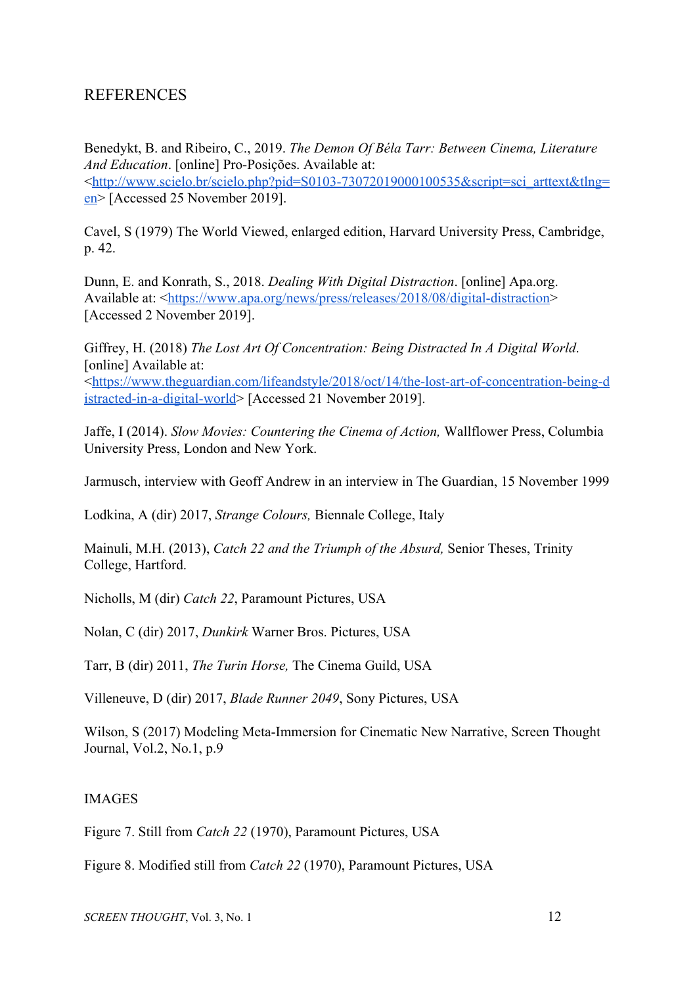### REFERENCES

Benedykt, B. and Ribeiro, C., 2019. *The Demon Of Béla Tarr: Between Cinema, Literature And Education*. [online] Pro-Posições. Available at: <[http://www.scielo.br/scielo.php?pid=S0103-73072019000100535&script=sci\\_arttext&tlng=](http://www.scielo.br/scielo.php?pid=S0103-73072019000100535&script=sci_arttext&tlng=en) [en](http://www.scielo.br/scielo.php?pid=S0103-73072019000100535&script=sci_arttext&tlng=en)> [Accessed 25 November 2019].

Cavel, S (1979) The World Viewed, enlarged edition, Harvard University Press, Cambridge, p. 42.

Dunn, E. and Konrath, S., 2018. *Dealing With Digital Distraction*. [online] Apa.org. Available at: [<https://www.apa.org/news/press/releases/2018/08/digital-distraction>](https://www.apa.org/news/press/releases/2018/08/digital-distraction) [Accessed 2 November 2019].

Giffrey, H. (2018) *The Lost Art Of Concentration: Being Distracted In A Digital World*. [online] Available at: <[https://www.theguardian.com/lifeandstyle/2018/oct/14/the-lost-art-of-concentration-being-d](https://www.theguardian.com/lifeandstyle/2018/oct/14/the-lost-art-of-concentration-being-distracted-in-a-digital-world) [istracted-in-a-digital-world](https://www.theguardian.com/lifeandstyle/2018/oct/14/the-lost-art-of-concentration-being-distracted-in-a-digital-world)> [Accessed 21 November 2019].

Jaffe, I (2014). *Slow Movies: Countering the Cinema of Action,* Wallflower Press, Columbia University Press, London and New York.

Jarmusch, interview with Geoff Andrew in an interview in The Guardian, 15 November 1999

Lodkina, A (dir) 2017, *Strange Colours,* Biennale College, Italy

Mainuli, M.H. (2013), *Catch 22 and the Triumph of the Absurd,* Senior Theses, Trinity College, Hartford.

Nicholls, M (dir) *Catch 22*, Paramount Pictures, USA

Nolan, C (dir) 2017, *Dunkirk* Warner Bros. Pictures, USA

Tarr, B (dir) 2011, *The Turin Horse,* The Cinema Guild, USA

Villeneuve, D (dir) 2017, *Blade Runner 2049*, Sony Pictures, USA

Wilson, S (2017) Modeling Meta-Immersion for Cinematic New Narrative, Screen Thought Journal, Vol.2, No.1, p.9

### IMAGES

Figure 7. Still from *Catch 22* (1970), Paramount Pictures, USA

Figure 8. Modified still from *Catch 22* (1970), Paramount Pictures, USA